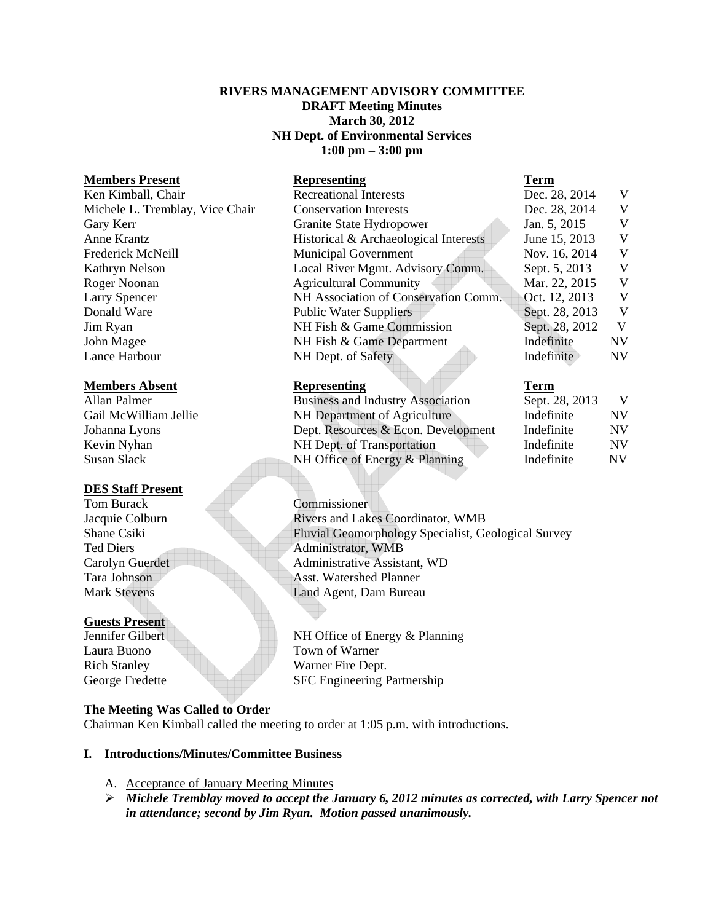### **RIVERS MANAGEMENT ADVISORY COMMITTEE DRAFT Meeting Minutes March 30, 2012 NH Dept. of Environmental Services 1:00 pm – 3:00 pm**

#### **Members Present 2008 Constraining Representing 7 Constraining Representing Representing Representing Representing Representing Representing Representing Representing Representing Representing Representing Representing Rep**

#### **Members Absent Representing Term**

### **DES Staff Present**

Tom Burack Commissioner

#### **Guests Present**

Laura Buono Town of Warner

| <i><b>IVICHHOCLD 1 LUBCHU</b></i> | $\mathbf{A}$                          | $\ddot{\phantom{1}}$ |           |
|-----------------------------------|---------------------------------------|----------------------|-----------|
| Ken Kimball, Chair                | <b>Recreational Interests</b>         | Dec. 28, 2014        | V         |
| Michele L. Tremblay, Vice Chair   | <b>Conservation Interests</b>         | Dec. 28, 2014        | V         |
| Gary Kerr                         | Granite State Hydropower              | Jan. 5, 2015         | V         |
| Anne Krantz                       | Historical & Archaeological Interests | June 15, 2013        | V         |
| Frederick McNeill                 | <b>Municipal Government</b>           | Nov. 16, 2014        | V         |
| Kathryn Nelson                    | Local River Mgmt. Advisory Comm.      | Sept. 5, 2013        | V         |
| Roger Noonan                      | <b>Agricultural Community</b>         | Mar. 22, 2015        | V         |
| <b>Larry Spencer</b>              | NH Association of Conservation Comm.  | Oct. 12, 2013        | V         |
| Donald Ware                       | <b>Public Water Suppliers</b>         | Sept. 28, 2013       | V         |
| Jim Ryan                          | NH Fish & Game Commission             | Sept. 28, 2012       | V         |
| John Magee                        | NH Fish & Game Department             | Indefinite           | <b>NV</b> |
| Lance Harbour                     | NH Dept. of Safety                    | Indefinite           | NV        |
|                                   |                                       |                      |           |

| Allan Palmer          | <b>Business and Industry Association</b> | Sept. 28, 2013 | V   |
|-----------------------|------------------------------------------|----------------|-----|
| Gail McWilliam Jellie | NH Department of Agriculture             | Indefinite     | NV. |
| Johanna Lyons         | Dept. Resources & Econ. Development      | Indefinite     | NV. |
| Kevin Nyhan           | NH Dept. of Transportation               | Indefinite     | NV. |
| Susan Slack           | NH Office of Energy & Planning           | Indefinite     | N V |

Jacquie Colburn Rivers and Lakes Coordinator, WMB Shane Csiki Fluvial Geomorphology Specialist, Geological Survey Ted Diers Administrator, WMB Carolyn Guerdet Administrative Assistant, WD Tara Johnson Asst. Watershed Planner Mark Stevens Land Agent, Dam Bureau

Jennifer Gilbert NH Office of Energy & Planning Rich Stanley Warner Fire Dept. George Fredette SFC Engineering Partnership

### **The Meeting Was Called to Order**

Chairman Ken Kimball called the meeting to order at 1:05 p.m. with introductions.

### **I. Introductions/Minutes/Committee Business**

- A. Acceptance of January Meeting Minutes
- ¾ *Michele Tremblay moved to accept the January 6, 2012 minutes as corrected, with Larry Spencer not in attendance; second by Jim Ryan. Motion passed unanimously.*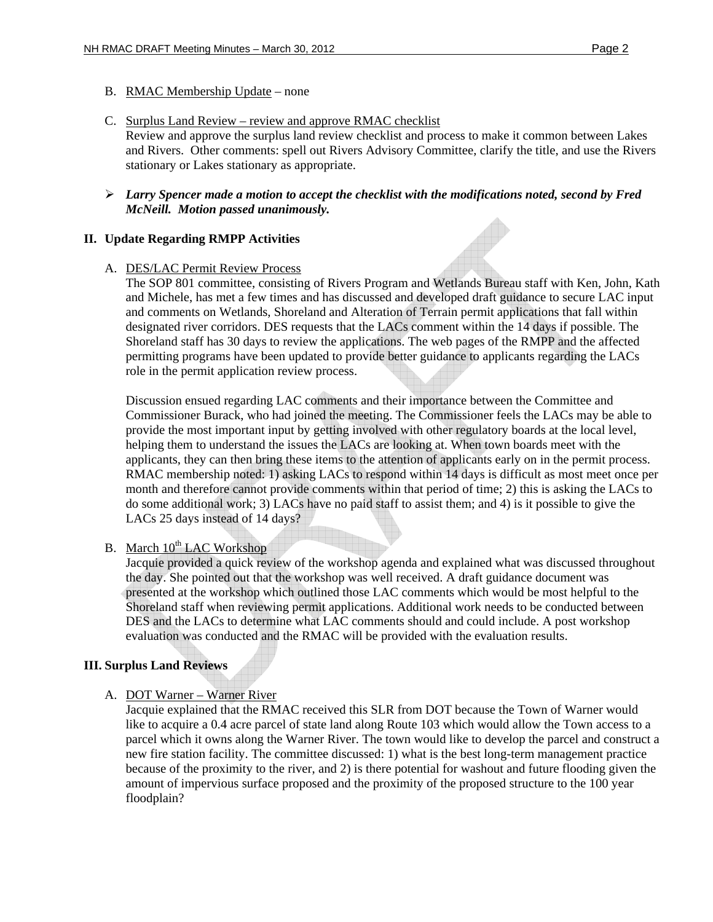### B. RMAC Membership Update – none

- C. Surplus Land Review review and approve RMAC checklist Review and approve the surplus land review checklist and process to make it common between Lakes and Rivers. Other comments: spell out Rivers Advisory Committee, clarify the title, and use the Rivers stationary or Lakes stationary as appropriate.
- ¾ *Larry Spencer made a motion to accept the checklist with the modifications noted, second by Fred McNeill. Motion passed unanimously.*

### **II. Update Regarding RMPP Activities**

#### A. DES/LAC Permit Review Process

The SOP 801 committee, consisting of Rivers Program and Wetlands Bureau staff with Ken, John, Kath and Michele, has met a few times and has discussed and developed draft guidance to secure LAC input and comments on Wetlands, Shoreland and Alteration of Terrain permit applications that fall within designated river corridors. DES requests that the LACs comment within the 14 days if possible. The Shoreland staff has 30 days to review the applications. The web pages of the RMPP and the affected permitting programs have been updated to provide better guidance to applicants regarding the LACs role in the permit application review process.

Discussion ensued regarding LAC comments and their importance between the Committee and Commissioner Burack, who had joined the meeting. The Commissioner feels the LACs may be able to provide the most important input by getting involved with other regulatory boards at the local level, helping them to understand the issues the LACs are looking at. When town boards meet with the applicants, they can then bring these items to the attention of applicants early on in the permit process. RMAC membership noted: 1) asking LACs to respond within 14 days is difficult as most meet once per month and therefore cannot provide comments within that period of time; 2) this is asking the LACs to do some additional work; 3) LACs have no paid staff to assist them; and 4) is it possible to give the LACs 25 days instead of 14 days?

# B. March  $10^{th}$  LAC Workshop

Jacquie provided a quick review of the workshop agenda and explained what was discussed throughout the day. She pointed out that the workshop was well received. A draft guidance document was presented at the workshop which outlined those LAC comments which would be most helpful to the Shoreland staff when reviewing permit applications. Additional work needs to be conducted between DES and the LACs to determine what LAC comments should and could include. A post workshop evaluation was conducted and the RMAC will be provided with the evaluation results.

### **III. Surplus Land Reviews**

### A. DOT Warner – Warner River

Jacquie explained that the RMAC received this SLR from DOT because the Town of Warner would like to acquire a 0.4 acre parcel of state land along Route 103 which would allow the Town access to a parcel which it owns along the Warner River. The town would like to develop the parcel and construct a new fire station facility. The committee discussed: 1) what is the best long-term management practice because of the proximity to the river, and 2) is there potential for washout and future flooding given the amount of impervious surface proposed and the proximity of the proposed structure to the 100 year floodplain?